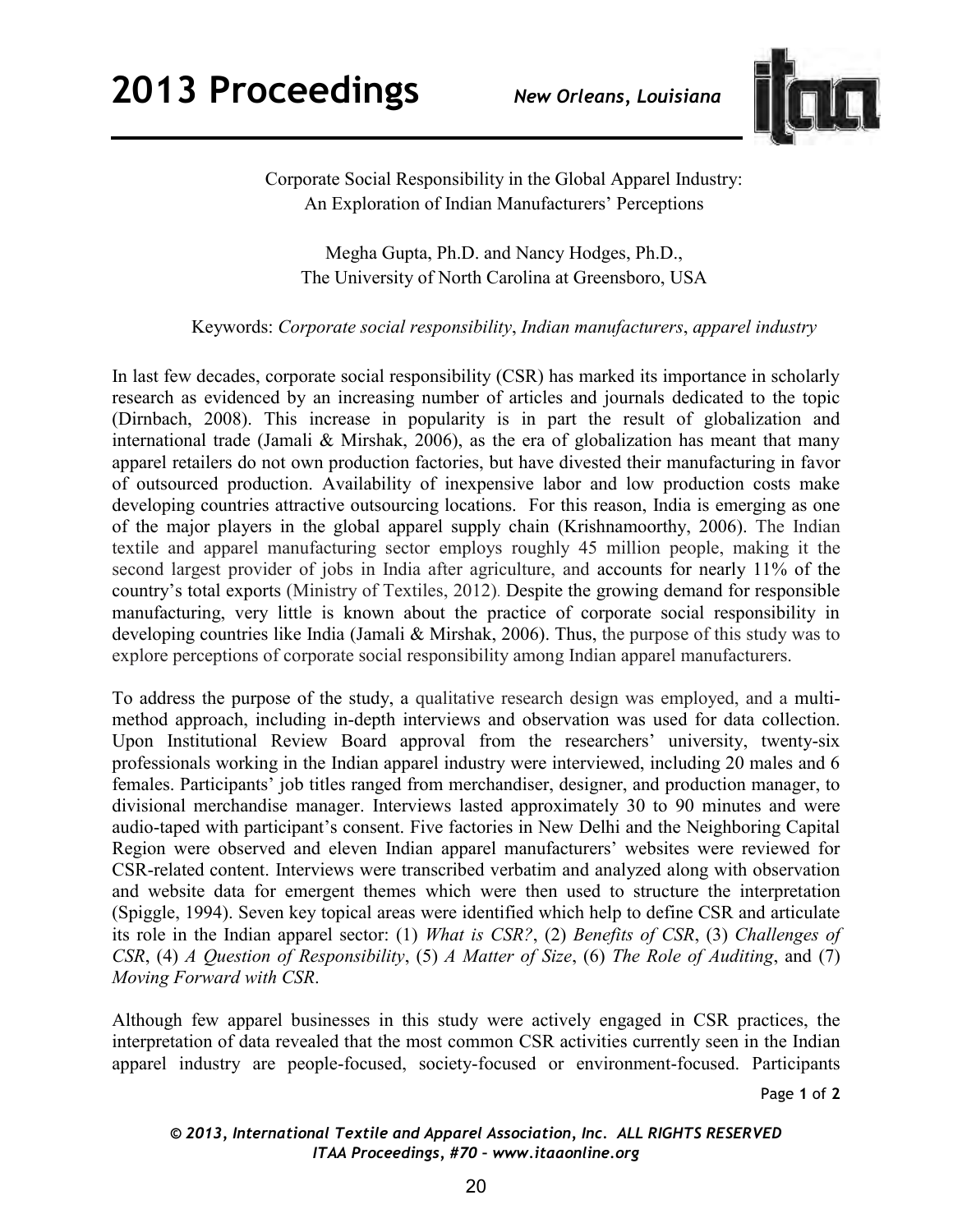

Corporate Social Responsibility in the Global Apparel Industry: An Exploration of Indian Manufacturers' Perceptions

Megha Gupta, Ph.D. and Nancy Hodges, Ph.D., The University of North Carolina at Greensboro, USA

## Keywords: *Corporate social responsibility*, *Indian manufacturers*, *apparel industry*

In last few decades, corporate social responsibility (CSR) has marked its importance in scholarly research as evidenced by an increasing number of articles and journals dedicated to the topic (Dirnbach, 2008). This increase in popularity is in part the result of globalization and international trade (Jamali & Mirshak, 2006), as the era of globalization has meant that many apparel retailers do not own production factories, but have divested their manufacturing in favor of outsourced production. Availability of inexpensive labor and low production costs make developing countries attractive outsourcing locations. For this reason, India is emerging as one of the major players in the global apparel supply chain (Krishnamoorthy, 2006). The Indian textile and apparel manufacturing sector employs roughly 45 million people, making it the second largest provider of jobs in India after agriculture, and accounts for nearly 11% of the country's total exports (Ministry of Textiles, 2012). Despite the growing demand for responsible manufacturing, very little is known about the practice of corporate social responsibility in developing countries like India (Jamali & Mirshak, 2006). Thus, the purpose of this study was to explore perceptions of corporate social responsibility among Indian apparel manufacturers.

To address the purpose of the study, a qualitative research design was employed, and a multimethod approach, including in-depth interviews and observation was used for data collection. Upon Institutional Review Board approval from the researchers' university, twenty-six professionals working in the Indian apparel industry were interviewed, including 20 males and 6 females. Participants' job titles ranged from merchandiser, designer, and production manager, to divisional merchandise manager. Interviews lasted approximately 30 to 90 minutes and were audio-taped with participant's consent. Five factories in New Delhi and the Neighboring Capital Region were observed and eleven Indian apparel manufacturers' websites were reviewed for CSR-related content. Interviews were transcribed verbatim and analyzed along with observation and website data for emergent themes which were then used to structure the interpretation (Spiggle, 1994). Seven key topical areas were identified which help to define CSR and articulate its role in the Indian apparel sector: (1) *What is CSR?*, (2) *Benefits of CSR*, (3) *Challenges of CSR*, (4) *A Question of Responsibility*, (5) *A Matter of Size*, (6) *The Role of Auditing*, and (7) *Moving Forward with CSR*.

Although few apparel businesses in this study were actively engaged in CSR practices, the interpretation of data revealed that the most common CSR activities currently seen in the Indian apparel industry are people-focused, society-focused or environment-focused. Participants

Page **1** of **2** 

## *© 2013, International Textile and Apparel Association, Inc. ALL RIGHTS RESERVED ITAA Proceedings, #70 – www.itaaonline.org*